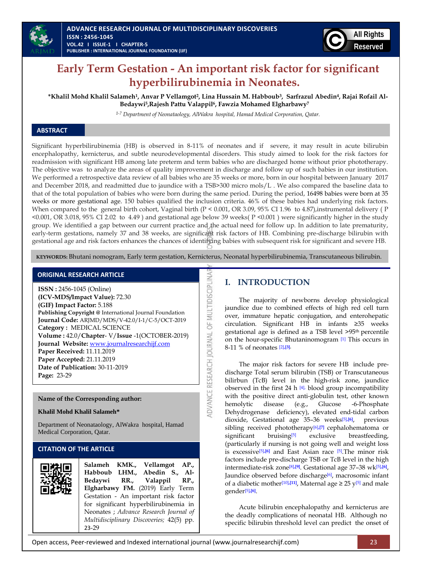

# **Early Term Gestation - An important risk factor for significant hyperbilirubinemia in Neonates.**

**\*Khalil Mohd Khalil Salameh1, Anvar P Vellamgot2, Lina Hussain M. Habboub3, Sarfrazul Abedin4, Rajai Rofail Al-Bedaywi5,Rajesh Pattu Valappil6, Fawzia Mohamed Elgharbawy<sup>7</sup>**

*1-7 Department of Neonataology, AlWakra hospital, Hamad Medical Corporation, Qatar.*

# **ABSTRACT**

Significant hyperbilirubinemia (HB) is observed in 8-11% of neonates and if severe, it may result in acute bilirubin encephalopathy, kernicterus, and subtle neurodevelopmental disorders. This study aimed to look for the risk factors for readmission with significant HB among late preterm and term babies who are discharged home without prior phototherapy. The objective was to analyze the areas of quality improvement in discharge and follow up of such babies in our institution. We performed a retrospective data review of all babies who are 35 weeks or more, born in our hospital between January 2017 and December 2018, and readmitted due to jaundice with a TSB>300 micro mols/L . We also compared the baseline data to that of the total population of babies who were born during the same period. During the period, 16498 babies were born at 35 weeks or more gestational age. 150 babies qualified the inclusion criteria. 46% of these babies had underlying risk factors. When compared to the general birth cohort, Vaginal birth  $(P < 0.001, OR 3.09, 95\% CI 1.96)$  to 4.87), instrumental delivery (P <0.001, OR 3.018, 95% CI 2.02 to 4.49 ) and gestational age below 39 weeks( P <0.001 ) were significantly higher in the study group. We identified a gap between our current practice and the actual need for follow up. In addition to late prematurity, early-term gestations, namely 37 and 38 weeks, are significant risk factors of HB. Combining pre-discharge bilirubin with gestational age and risk factors enhances the chances of identifying babies with subsequent risk for significant and severe HB.

**KEYWORDS:** Bhutani nomogram, Early term gestation, Kernicterus, Neonatal hyperbilirubinemia, Transcutaneous bilirubin.

DVANCE RESEARCH JOURNAL OF MULTIDISCIPLINA

#### **ORIGINAL RESEARCH ARTICLE**

**ISSN :** 2456-1045 (Online) **(ICV-MDS/Impact Value):** 72.30 **(GIF) Impact Factor:** 5.188 **Publishing Copyright @** International Journal Foundation **Journal Code:** ARJMD/MDS/V-42.0/I-1/C-5/OCT-2019 **Category :** MEDICAL SCIENCE **Volume :** 42.0/**Chapter**- V/**Issue** -1(OCTOBER-2019) **Journal Website:** [www.journalresearchijf.com](http://www.journalresearchijf.com/) **Paper Received:** 11.11.2019 **Paper Accepted:** 21.11.2019 **Date of Publication:** 30-11-2019 **Page:** 23-29

#### **Name of the Corresponding author:**

#### **Khalil Mohd Khalil Salameh\***

Department of Neonataology, AlWakra hospital, Hamad Medical Corporation, Qatar.

#### **CITATION OF THE ARTICLE**

| Gestation - An important risk factor<br>for significant hyperbilirubinemia in<br>Neonates ; Advance Research Journal of<br>Multidisciplinary Discoveries; 42(5) pp.<br>23-29 |  | Salameh KMK., Vellamgot AP.,<br>Habboub LHM., Abedin S., Al-<br>Bedaywi RR., Valappil RP.,<br>Elgharbawy FM. (2019) Early Term |
|------------------------------------------------------------------------------------------------------------------------------------------------------------------------------|--|--------------------------------------------------------------------------------------------------------------------------------|
|------------------------------------------------------------------------------------------------------------------------------------------------------------------------------|--|--------------------------------------------------------------------------------------------------------------------------------|

# **I. INTRODUCTION**

The majority of newborns develop physiological jaundice due to combined effects of high red cell turn over, immature hepatic conjugation, and enterohepatic circulation. Significant HB in infants ≥35 weeks gestational age is defined as a TSB level >95th percentile on the hour-specific Bhutaninomogram [\[1\]](#page-5-0) This occurs in 8-11 % of neonates [\[2\]](#page-5-1)**[,\[3\].](#page-5-2)**

The major risk factors for severe HB include predischarge Total serum bilirubin (TSB) or Transcutaneous bilirbun (TcB) level in the high-risk zone, jaundice observed in the first 24 h [\[4\],](#page-5-3) blood group incompatibility with the positive direct anti-globulin test, other known hemolytic disease (e.g., Glucose -6-Phosphate Dehydrogenase deficiency), elevated end-tidal carbon dioxide, Gestational age 35–36 weeks[\[5\]](#page-5-4)**[,\[6\]](#page-5-5)**, previous sibling received phototherapy<sup>[\[6\]](#page-5-5)</sup>,<sup>[7]</sup> cephalohematoma or significant bruising<sup>[\[5\]](#page-5-4)</sup> exclusive breastfeeding, (particularly if nursing is not going well and weight loss is excessive[\[5\]](#page-5-4)**[,\[6\]](#page-5-5)** and East Asian race [\[5\]](#page-5-4).The minor risk factors include pre-discharge TSB or TcB level in the high intermediate-risk zone[\[8\]](#page-5-7)**[,\[9\]](#page-5-8)**. Gestational age 37–38 wk[\[5\]](#page-5-4)**[,\[6\]](#page-5-5)** , Jaundice observed before discharge<sup>[\[6\]](#page-5-5)</sup>, macrosomic infant of a diabetic mother<sup>[\[10\]](#page-5-9)</sup>,<sup>[11]</sup>, Maternal age  $\geq 25$  y<sup>[\[5\]](#page-5-4)</sup> and male gender[\[5\]](#page-5-4)**[,\[6\]](#page-5-5)** .

Acute bilirubin encephalopathy and kernicterus are the deadly complications of neonatal HB. Although no specific bilirubin threshold level can predict the onset of

Open access, Peer-reviewed and Indexed international journal (www.journalresearchijf.com) 23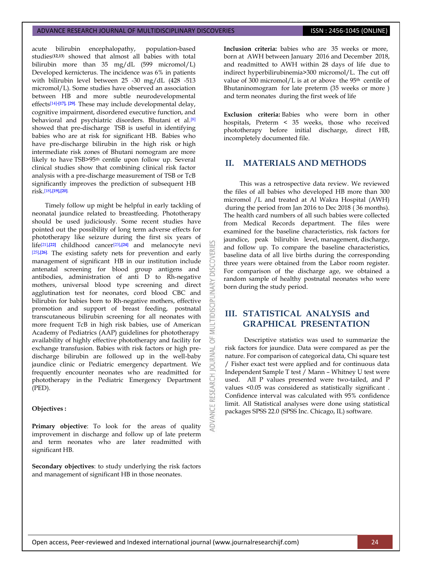acute bilirubin encephalopathy, population-based studies(**12,13**) showed that almost all babies with total bilirubin more than 35 mg/dL (599 micromol/L) Developed kernicterus. The incidence was 6% in patients with bilirubin level between 25 -30 mg/dL (428 -513 micromol/L). Some studies have observed an association between HB and more subtle neurodevelopmental effects[\[14\]](#page-6-1)**[-\[17\],](#page-6-2) [\[29\]](#page-6-3)**. These may include developmental delay, cognitive impairment, disordered executive function, and behavioral and psychiatric disorders. Bhutani et al.[\[8\]](#page-5-7) showed that pre-discharge TSB is useful in identifying babies who are at risk for significant HB. Babies who have pre-discharge bilirubin in the high risk or high intermediate risk zones of Bhutani nomogram are more likely to have TSB>95th centile upon follow up. Several clinical studies show that combining clinical risk factor analysis with a pre-discharge measurement of TSB or TcB significantly improves the prediction of subsequent HB risk. [\[18\]](#page-6-4)**[,\[19\],](#page-6-5)[\[20\]](#page-6-6)**.

Timely follow up might be helpful in early tackling of neonatal jaundice related to breastfeeding. Phototherapy should be used judiciously. Some recent studies have pointed out the possibility of long term adverse effects for phototherapy like seizure during the first six years of life[\[21\]](#page-6-7)**[,\[22\]](#page-6-8)** childhood cancer[\[23\]](#page-6-9)**[,\[24\]](#page-6-10)** and melanocyte nevi [\[25\]](#page-6-11)**[,\[26\]](#page-6-12)**. The existing safety nets for prevention and early management of significant HB in our institution include antenatal screening for blood group antigens and antibodies, administration of anti D to Rh-negative mothers, universal blood type screening and direct agglutination test for neonates, cord blood CBC and bilirubin for babies born to Rh-negative mothers, effective promotion and support of breast feeding, postnatal transcutaneous bilirubin screening for all neonates with more frequent TcB in high risk babies, use of American Academy of Pediatrics (AAP) guidelines for phototherapy availability of highly effective phototherapy and facility for exchange transfusion. Babies with risk factors or high predischarge bilirubin are followed up in the well-baby jaundice clinic or Pediatric emergency department. We frequently encounter neonates who are readmitted for phototherapy in the Pediatric Emergency Department (PED).

# **Objectives :**

Primary objective: To look for the areas of quality improvement in discharge and follow up of late preterm and term neonates who are later readmitted with significant HB.

**Secondary objectives**: to study underlying the risk factors and management of significant HB in those neonates.

**Inclusion criteria:** babies who are 35 weeks or more, born at AWH between January 2016 and December 2018, and readmitted to AWH within 28 days of life due to indirect hyperbilirubinemia>300 micromol/L. The cut off value of  $300$  micromol/L is at or above the 95<sup>th</sup> centile of Bhutaninomogram for late preterm (35 weeks or more ) and term neonates during the first week of life

**Exclusion criteria:** Babies who were born in other hospitals, Preterm < 35 weeks, those who received phototherapy before initial discharge, direct HB, incompletely documented file.

# **II. MATERIALS AND METHODS**

This was a retrospective data review. We reviewed the files of all babies who developed HB more than 300 micromol /L and treated at Al Wakra Hospital (AWH) during the period from Jan 2016 to Dec 2018 ( 36 months). The health card numbers of all such babies were collected from Medical Records department. The files were examined for the baseline characteristics, risk factors for jaundice, peak bilirubin level, management, discharge, and follow up. To compare the baseline characteristics, baseline data of all live births during the corresponding three years were obtained from the Labor room register. For comparison of the discharge age, we obtained a random sample of healthy postnatal neonates who were born during the study period.

# **III. STATISTICAL ANALYSIS and GRAPHICAL PRESENTATION**

**DISCOVERI** 

INARY

**DISCIPL** 

5 **IRNAL** jon

**IDVANCE RESEARCH** 

Descriptive statistics was used to summarize the risk factors for jaundice. Data were compared as per the nature. For comparison of categorical data, Chi square test / Fisher exact test were applied and for continuous data Independent Sample T test / Mann – Whitney U test were used. All P values presented were two-tailed, and P values <0.05 was considered as statistically significant . Confidence interval was calculated with 95% confidence limit. All Statistical analyses were done using statistical packages SPSS 22.0 (SPSS Inc. Chicago, IL) software.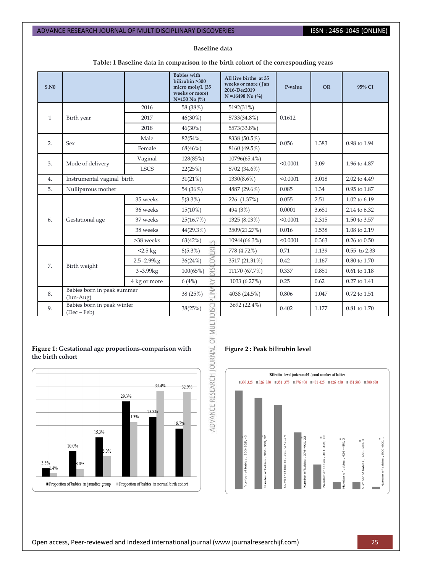#### **Baseline data**

# **Table: 1 Baseline data in comparison to the birth cohort of the corresponding years**

| S.N0         |                                           |                 | <b>Babies</b> with<br>bilirubin >300<br>micro mols/L (35<br>weeks or more)<br>$N=150$ No $\left(\frac{0}{0}\right)$ | All live births at 35<br>weeks or more (Jan<br>2016-Dec2019<br>$N = 16498$ No $\binom{0}{0}$ | P-value  | <b>OR</b>    | 95% CI             |
|--------------|-------------------------------------------|-----------------|---------------------------------------------------------------------------------------------------------------------|----------------------------------------------------------------------------------------------|----------|--------------|--------------------|
|              |                                           | 2016            | 58 (38%)                                                                                                            | 5192(31%)                                                                                    |          |              |                    |
| $\mathbf{1}$ | Birth year                                | 2017            | $46(30\%)$                                                                                                          | 5733(34.8%)                                                                                  | 0.1612   |              |                    |
|              |                                           | 2018            | $46(30\%)$                                                                                                          | 5573(33.8%)                                                                                  |          |              |                    |
|              | 2.<br><b>Sex</b>                          | Male            | $82(54\%$                                                                                                           | 8338 (50.5%)                                                                                 | 0.056    | 1.383        | 0.98 to 1.94       |
|              |                                           | Female          | 68(46%)                                                                                                             | 8160 (49.5%)                                                                                 |          |              |                    |
| 3.           |                                           | Vaginal         | 128(85%)                                                                                                            | 10796(65.4%)                                                                                 | < 0.0001 | 3.09         | 1.96 to 4.87       |
|              | Mode of delivery                          | <b>LSCS</b>     | 22(25%)                                                                                                             | 5702 (34.6%)                                                                                 |          |              |                    |
| 4.           | Instrumental vaginal birth                |                 | 31(21%)                                                                                                             | $1330(8.6\%)$                                                                                | < 0.0001 | 3.018        | 2.02 to 4.49       |
| 5.           | Nulliparous mother                        |                 | 54 (36%)                                                                                                            | 4887 (29.6%)                                                                                 | 0.085    | 1.34         | 0.95 to 1.87       |
|              |                                           | 35 weeks        | $5(3.3\%)$                                                                                                          | 226 (1.37%)                                                                                  | 0.055    | 2.51         | 1.02 to 6.19       |
|              | 6.<br>Gestational age                     | 36 weeks        | $15(10\%)$                                                                                                          | 494 (3%)                                                                                     | 0.0001   | 3.681        | 2.14 to 6.32       |
|              |                                           | 37 weeks        | 25(16.7%)                                                                                                           | 1325 (8.03%)                                                                                 | < 0.0001 | 2.315        | 1.50 to 3.57       |
|              |                                           | 38 weeks        | 44(29.3%)                                                                                                           | 3509(21.27%)                                                                                 | 0.016    | 1.538        | 1.08 to 2.19       |
|              |                                           | >38 weeks       | 63(42%)<br>in                                                                                                       | 10944(66.3%)                                                                                 | < 0.0001 | 0.363        | $0.26$ to $0.50$   |
|              | $2.5 \text{ kg}$                          | 帝<br>$8(5.3\%)$ | 778 (4.72%)                                                                                                         | 0.71                                                                                         | 1.139    | 0.55 to 2.33 |                    |
|              | 7.<br>Birth weight                        | 2.5-2.99kg      | б<br>36(24%)                                                                                                        | 3517 (21.31%)                                                                                | 0.42     | 1.167        | 0.80 to 1.70       |
|              |                                           | 3-3.99kg        | S<br>100(65%)                                                                                                       | 11170 (67.7%)                                                                                | 0.337    | 0.851        | $0.61$ to $1.18\,$ |
|              | 4 kg or more                              | RY<br>6(4%)     | 1033 (6.27%)                                                                                                        | 0.25                                                                                         | 0.62     | 0.27 to 1.41 |                    |
| 8.           | Babies born in peak summer<br>$(Jun-Aug)$ |                 | Ξ<br>38 (25%)                                                                                                       | 4038 (24.5%)                                                                                 | 0.806    | 1.047        | 0.72 to 1.51       |
| 9.           | Babies born in peak winter<br>(Dec - Feb) |                 | 38(25%)<br>S                                                                                                        | 3692 (22.4%)                                                                                 | 0.402    | 1.177        | 0.81 to 1.70       |

### **Figure 1: Gestational age proportions-comparison with the birth cohort**



### **Figure 2 : Peak bilirubin level**

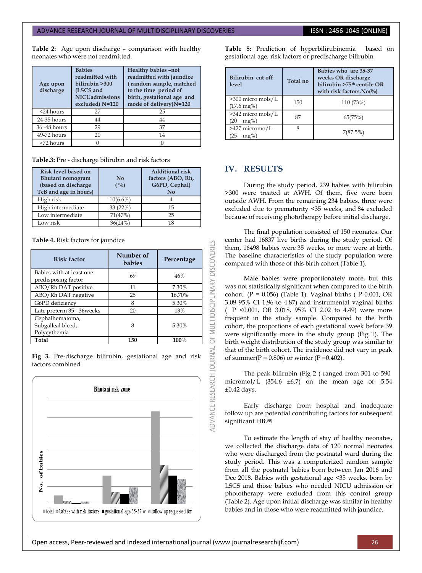**Table 2:** Age upon discharge – comparison with healthy neonates who were not readmitted.

| Age upon<br>discharge | <b>Babies</b><br>readmitted with<br>bilirubin >300<br>(LSCS and<br><b>NICUadmissions</b><br>excluded) N=120 | Healthy babies -not<br>readmitted with jaundice<br>(random sample, matched<br>to the time period of<br>birth, gestational age and<br>mode of delivery)N=120 |
|-----------------------|-------------------------------------------------------------------------------------------------------------|-------------------------------------------------------------------------------------------------------------------------------------------------------------|
| $<$ 24 hours          | 27                                                                                                          | 25                                                                                                                                                          |
| 24-35 hours           | 44                                                                                                          | 44                                                                                                                                                          |
| 36 - 48 hours         | 29                                                                                                          | 37                                                                                                                                                          |
| 49-72 hours           | 20                                                                                                          | 14                                                                                                                                                          |
| >72 hours             |                                                                                                             |                                                                                                                                                             |

**Table.3:** Pre - discharge bilirubin and risk factors

| Risk level based on<br>Bhutani nomogram<br>(based on discharge<br>TcB and age in hours) | $\mathbf{N}\mathbf{0}$<br>$( \frac{0}{0} )$ | <b>Additional risk</b><br>factors (ABO, Rh,<br>G6PD, Cephal)<br>No |
|-----------------------------------------------------------------------------------------|---------------------------------------------|--------------------------------------------------------------------|
| High risk                                                                               | $10(6.6\%)$                                 |                                                                    |
| High intermediate                                                                       | 33 (22%)                                    | 15                                                                 |
| Low intermediate                                                                        | 71(47%)                                     | 25                                                                 |
| Low risk                                                                                | 36(24%)                                     | 18                                                                 |

**Table 4.** Risk factors for jaundice

| <b>Risk factor</b>                                   | Number of<br>babies | Percentage |
|------------------------------------------------------|---------------------|------------|
| Babies with at least one<br>predisposing factor      | 69                  | 46%        |
| ABO/Rh DAT positive                                  | 11                  | 7.30%      |
| ABO/Rh DAT negative                                  | 25                  | 16.70%     |
| G6PD deficiency                                      | 8                   | 5.30%      |
| Late preterm 35 - 36weeks                            | 20                  | 13%        |
| Cephalhematoma,<br>Subgalleal bleed,<br>Polycythemia |                     | 5.30%      |
| Total                                                | 150                 | 100%       |

**Fig 3.** Pre-discharge bilirubin, gestational age and risk factors combined



**Table 5:** Prediction of hyperbilirubinemia based on gestational age, risk factors or predischarge bilirubin

| Bilirubin cut off<br>level                    | Total no | Babies who are 35-37<br>weeks OR discharge<br>bilirubin >75 <sup>th</sup> centile OR<br>with risk factors. No( $\%$ ) |
|-----------------------------------------------|----------|-----------------------------------------------------------------------------------------------------------------------|
| >300 micro mols/L<br>$(17.6 \,\mathrm{mg\%})$ | 150      | 110 (73%)                                                                                                             |
| >342 micro mols/L<br>$mg\%$ )<br>(20)         | 87       | 65(75%)                                                                                                               |
| $>427$ micromo/L<br>$mg\%$<br>25              | 8        | 7(87.5%)                                                                                                              |

# **IV. RESULTS**

53

OF MULTIDISCIPLINARY DISCOVERI

During the study period, 239 babies with bilirubin >300 were treated at AWH. Of them, five were born outside AWH. From the remaining 234 babies, three were excluded due to prematurity <35 weeks, and 84 excluded because of receiving phototherapy before initial discharge.

The final population consisted of 150 neonates. Our center had 16837 live births during the study period. Of them, 16498 babies were 35 weeks, or more were at birth. The baseline characteristics of the study population were compared with those of this birth cohort (Table 1).

Male babies were proportionately more, but this was not statistically significant when compared to the birth cohort. ( $P = 0.056$ ) (Table 1). Vaginal births ( $P = 0.001$ , OR 3.09 95% CI 1.96 to 4.87) and instrumental vaginal births ( P <0.001, OR 3.018, 95% CI 2.02 to 4.49) were more frequent in the study sample. Compared to the birth cohort, the proportions of each gestational week before 39 were significantly more in the study group (Fig 1). The birth weight distribution of the study group was similar to that of the birth cohort. The incidence did not vary in peak of summer( $P = 0.806$ ) or winter ( $P = 0.402$ ).

The peak bilirubin (Fig 2 ) ranged from 301 to 590 micromol/L  $(354.6 \pm 6.7)$  on the mean age of  $5.54$ ±0.42 days.

Early discharge from hospital and inadequate follow up are potential contributing factors for subsequent significant HB(**38**)

To estimate the length of stay of healthy neonates, we collected the discharge data of 120 normal neonates who were discharged from the postnatal ward during the study period. This was a computerized random sample from all the postnatal babies born between Jan 2016 and Dec 2018. Babies with gestational age <35 weeks, born by LSCS and those babies who needed NICU admission or phototherapy were excluded from this control group (Table 2). Age upon initial discharge was similar in healthy babies and in those who were readmitted with jaundice.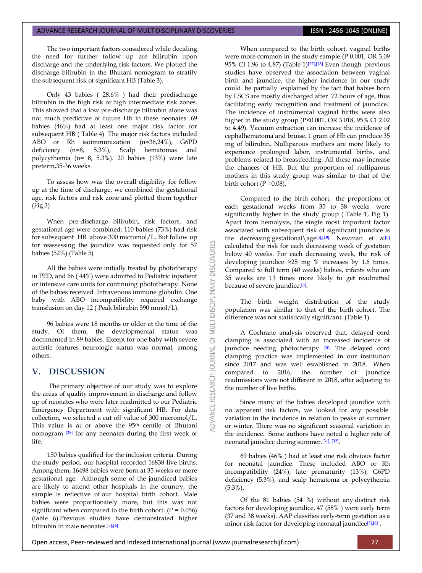The two important factors considered while deciding the need for further follow up are bilirubin upon discharge and the underlying risk factors. We plotted the discharge bilirubin in the Bhutani nomogram to stratify the subsequent risk of significant HB (Table 3).

Only 43 babies ( 28.6% ) had their predischarge bilirubin in the high risk or high intermediate risk zones. This showed that a low pre-discharge bilirubin alone was not much predictive of future Hb in these neonates. 69 babies (46%) had at least one major risk factor for subsequent HB ( Table 4) The major risk factors included ABO or Rh isoimmunization (n=36,24%), G6PD deficiency (n=8, 5.3%), Scalp hematomas and polycythemia (n= 8, 5.3%). 20 babies (13%) were late preterm,35-36 weeks.

To assess how was the overall eligibility for follow up at the time of discharge, we combined the gestational age, risk factors and risk zone and plotted them together (Fig 3)

When pre-discharge bilirubin, risk factors, and gestational age were combined; 110 babies (73%) had risk for subsequent HB above 300 micromol/L. But follow up for reassessing the jaundice was requested only for 57 babies (52%).(Table 5)

All the babies were initially treated by phototherapy in PED, and 66 ( 44%) were admitted to Pediatric inpatient or intensive care units for continuing phototherapy. None of the babies received Intravenous immune globulin. One baby with ABO incompatibility required exchange transfusion on day 12 ( Peak bilirubin 590 mmol/L).

96 babies were 18 months or older at the time of the study. Of them, the developmental status was documented in 89 babies. Except for one baby with severe autistic features neurologic status was normal, among others.

# **V. DISCUSSION**

The primary objective of our study was to explore the areas of quality improvement in discharge and follow up of neonates who were later readmitted to our Pediatric Emergency Department with significant HB. For data collection, we selected a cut off value of 300 micromol/L. This value is at or above the 95th centile of Bhutani nomogram [\[28\]](#page-5-0) for any neonates during the first week of life.

150 babies qualified for the inclusion criteria. During the study period, our hospital recorded 16838 live births. Among them, 16498 babies were born at 35 weeks or more gestational age. Although some of the jaundiced babies are likely to attend other hospitals in the country, the sample is reflective of our hospital birth cohort. Male babies were proportionately more, but this was not significant when compared to the birth cohort.  $(P = 0.056)$ (table 6).Previous studies have demonstrated higher bilirubin in male neonates. [\[5\]](#page-5-4)**[,\[6\]](#page-5-5)**

When compared to the birth cohort, vaginal births were more common in the study sample (P 0.001, OR 3.09 95% CI 1.96 to 4.87) (Table 1)[\[27\]](#page-6-13)**[,\[28\]](#page-6-14)** Even though previous studies have observed the association between vaginal birth and jaundice, the higher incidence in our study could be partially explained by the fact that babies born by LSCS are mostly discharged after 72 hours of age, thus facilitating early recognition and treatment of jaundice. The incidence of instrumental vaginal births were also higher in the study group (P<0.001, OR 3.018, 95% CI 2.02 to 4.49). Vacuum extraction can increase the incidence of cephalhematoma and bruise. 1 gram of Hb can produce 35 mg of bilirubin. Nulliparous mothers are more likely to experience prolonged labor, instrumental births, and problems related to breastfeeding. All these may increase the chances of HB. But the proportion of nulliparous mothers in this study group was similar to that of the birth cohort  $(P = 0.08)$ .

Compared to the birth cohort, the proportions of each gestational weeks from 35 to 38 weeks were significantly higher in the study group ( Table 1, Fig 1). Apart from hemolysis, the single most important factor associated with subsequent risk of significant jaundice is the decreasing gestational\age[\[5\]](#page-5-4)**[,\[19\]](#page-6-5)**. Newman et al[\[5\]](#page-5-4) calculated the risk for each decreasing week of gestation below 40 weeks. For each decreasing week, the risk of developing jaundice >25 mg % increases by 1.6 times. Compared to full term (40 weeks) babies, infants who are 35 weeks are 13 times more likely to get readmitted because of severe jaundice.<sup>[\[6\]](#page-5-5)</sup>.

**DISCOVERI** 

MULTIDISCIPLINARY

 $\overline{5}$ 

**JOURNAL** 

**RESEARCH** 

The birth weight distribution of the study population was similar to that of the birth cohort. The difference was not statistically significant. (Table 1).

A Cochrane analysis observed that, delayed cord clamping is associated with an increased incidence of jaundice needing phototherapy [\[30\]](#page-6-15) The delayed cord clamping practice was implemented in our institution since 2017 and was well established in 2018. When compared to 2016, the number of jaundice readmissions were not different in 2018, after adjusting to the number of live births.

Since many of the babies developed jaundice with no apparent risk factors, we looked for any possible variation in the incidence in relation to peaks of summer or winter. There was no significant seasonal variation in the incidence. Some authors have noted a higher rate of neonatal jaundice during summer. [\[31\]](#page-6-16)**[, \[32\]](#page-6-17)** .

69 babies (46% ) had at least one risk obvious factor for neonatal jaundice. These included ABO or Rh incompatibility (24%), late prematurity (13%), G6PD deficiency (5.3%), and scalp hematoma or polycythemia (5.3%).

Of the 81 babies (54 %) without any distinct risk factors for developing jaundice, 47 (58% ) were early term (37 and 38 weeks). AAP classifies early-term gestation as a minor risk factor for developing neonatal jaundice<sup>[\[5\]](#page-5-4)</sup>*J*<sup>6</sup>.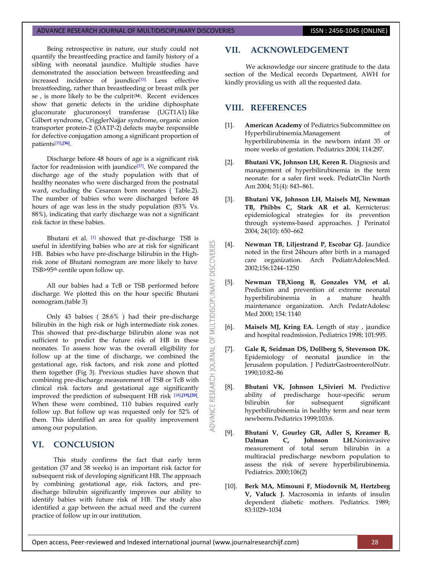Being retrospective in nature, our study could not quantify the breastfeeding practice and family history of a sibling with neonatal jaundice. Multiple studies have demonstrated the association between breastfeeding and increased incidence of jaundice<sup>[\[33\].](#page-6-18)</sup> Less effective breastfeeding, rather than breastfeeding or breast milk per se , is more likely to be the culprit(**34**) . Recent evidences show that genetic defects in the uridine diphosphate gluconurate glucuronosyl transferase (UGT1A1) like Gilbert syndrome, CrigglerNajjar syndrome, organic anion transporter protein-2 (OATP-2) defects maybe responsible for defective conjugation among a significant proportion of patients[\[35\]](#page-6-19)**[,\[36\]](#page-6-20)** .

Discharge before 48 hours of age is a significant risk factor for readmission with jaundice[\[37\]](#page-6-21). We compared the discharge age of the study population with that of healthy neonates who were discharged from the postnatal ward, excluding the Cesarean born neonates ( Table.2). The number of babies who were discharged before 48 hours of age was less in the study population (83% Vs. 88%), indicating that early discharge was not a significant risk factor in these babies.

Bhutani et al. [\[1\]](#page-5-0) showed that pr-discharge TSB is useful in identifying babies who are at risk for significant HB. Babies who have pre-discharge bilirubin in the Highrisk zone of Bhutani nomogram are more likely to have TSB>95th centile upon follow up.

All our babies had a TcB or TSB performed before discharge. We plotted this on the hour specific Bhutani nomogram.(table 3)

Only 43 babies ( 28.6% ) had their pre-discharge bilirubin in the high risk or high intermediate risk zones. This showed that pre-discharge bilirubin alone was not sufficient to predict the future risk of HB in these neonates. To assess how was the overall eligibility for follow up at the time of discharge, we combined the gestational age, risk factors, and risk zone and plotted them together (Fig 3). Previous studies have shown that combining pre-discharge measurement of TSB or TcB with clinical risk factors and gestational age significantly improved the prediction of subsequent HB risk [\[18\]](#page-6-4)**[,\[19\],](#page-6-5)[\[20\]](#page-6-6)** . When these were combined, 110 babies required early follow up. But follow up was requested only for 52% of them. This identified an area for quality improvement among our population.

# **VI. CONCLUSION**

This study confirms the fact that early term gestation (37 and 38 weeks) is an important risk factor for subsequent risk of developing significant HB. The approach by combining gestational age, risk factors, and predischarge bilirubin significantly improves our ability to identify babies with future risk of HB. The study also identified a gap between the actual need and the current practice of follow up in our institution.

# **VII. ACKNOWLEDGEMENT**

We acknowledge our sincere gratitude to the data section of the Medical records Department, AWH for kindly providing us with all the requested data.

# **VIII. REFERENCES**

K

**DISCOVERI** 

MULTIDISCIPLINARY

 $\overline{5}$ 

ADVANCE RESEARCH JOURNAL

- <span id="page-5-0"></span>[1]. **American Academy** of Pediatrics Subcommittee on Hyperbilirubinemia.Management of hyperbilirubinemia in the newborn infant 35 or more weeks of gestation. Pediatrics 2004; 114:297.
- <span id="page-5-1"></span>[2]. **Bhutani VK, Johnson LH, Keren R.** Diagnosis and management of hyperbilirubinemia in the term neonate: for a safer first week. PediatrClin North Am 2004; 51(4): 843–861.
- <span id="page-5-2"></span>[3]. **Bhutani VK, Johnson LH, Maisels MJ, Newman TB, Phibbs C, Stark AR et al.** Kernicterus: epidemiological strategies for its prevention through systems-based approaches. J Perinatol 2004; 24(10): 650–662
- <span id="page-5-3"></span>[4]. **Newman TB, Liljestrand P, Escobar GJ.** Jaundice noted in the first 24hours after birth in a managed care organization. Arch PediatrAdolescMed. 2002;156:1244–1250
- <span id="page-5-4"></span>[5]. **Newman TB,Xiong B, Gonzales VM, et al.** Prediction and prevention of extreme neonatal hyperbilirubinemia in a mature health maintenance organization. Arch PedatrAdolesc Med 2000; 154: 1140
- <span id="page-5-5"></span>[6]. **Maisels MJ, Kring EA.** Length of stay , jaundice and hospital readmission. Pediatrics 1998; 101:995.
- <span id="page-5-6"></span>[7]. **Gale R, Seidman DS, Dollberg S, Stevenson DK.**  Epidemiology of neonatal jaundice in the Jerusalem population. J PediatrGastroenterolNutr. 1990;10:82–86
- <span id="page-5-7"></span>[8]. **Bhutani VK, Johnson L,Sivieri M.** Predictive ability of predischarge hour-specific serum bilirubin for subsequent significant hyperbilirubinemia in healthy term and near term newborns.Pediatrics 1999;103:6.
- <span id="page-5-8"></span>[9]. **Bhutani V, Gourley GR, Adler S, Kreamer B, Dalman C, Johnson LH.**Noninvasive measurement of total serum bilirubin in a multiracial predischarge newborn population to assess the risk of severe hyperbilirubinemia. Pediatrics. 2000;106(2)
- <span id="page-5-9"></span>[10]. **Berk MA, Mimouni F, Miodovnik M, Hertzberg V, Valuck J.** Macrosomia in infants of insulin dependent diabetic mothers. Pediatrics. 1989; 83:1029–1034